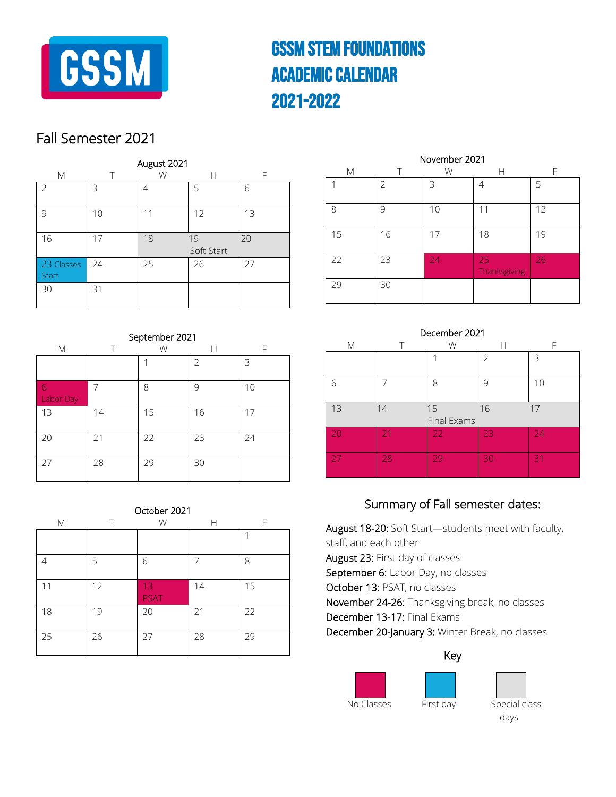

# GSSm Stem foundations Academic Calendar 2021-2022

### Fall Semester 2021

| M                          |    | August 2021<br>W | Н                | F  |
|----------------------------|----|------------------|------------------|----|
| 2                          | 3  | 4                | 5                | 6  |
| 9                          | 10 | 11               | 12               | 13 |
| 16                         | 17 | 18               | 19<br>Soft Start | 20 |
| 23 Classes<br><b>Start</b> | 24 | 25               | 26               | 27 |
| 30                         | 31 |                  |                  |    |

| September 2021 |    |    |    |    |
|----------------|----|----|----|----|
| M              |    | W  | Н  | F  |
|                |    | 1  | 2  | 3  |
| 6<br>Labor Day | 7  | 8  | 9  | 10 |
| 13             | 14 | 15 | 16 | 17 |
| 20             | 21 | 22 | 23 | 24 |
| 27             | 28 | 29 | 30 |    |

| October 2021 |    |                   |    |    |  |
|--------------|----|-------------------|----|----|--|
| М            | т  | W                 | Н  | F  |  |
|              |    |                   |    |    |  |
| 4            | 5  | 6                 | 7  | 8  |  |
| 11           | 12 | 13<br><b>PSAT</b> | 14 | 15 |  |
| 18           | 19 | 20                | 21 | 22 |  |
| 25           | 26 | 27                | 28 | 29 |  |

| November 2021 |               |    |                    |    |  |
|---------------|---------------|----|--------------------|----|--|
| M             | Т             | W  | Н                  | F  |  |
|               | $\mathcal{P}$ | 3  | 4                  | 5  |  |
| 8             | 9             | 10 | 11                 | 12 |  |
| 15            | 16            | 17 | 18                 | 19 |  |
| 22            | 23            | 24 | 25<br>Thanksgiving | 26 |  |
| 29            | 30            |    |                    |    |  |

### December 2021

| М   |    | W                 |               |    |
|-----|----|-------------------|---------------|----|
|     |    |                   | $\mathcal{P}$ | 3  |
| 6   |    | 8                 | 9             | 10 |
| 13  | 14 | 15<br>Final Exams | 16            | 17 |
| -20 | 21 | 22                | 23            | 24 |
| 27  | 28 | 29                | 30            | 31 |

### Summary of Fall semester dates:

August 18-20: Soft Start—students meet with faculty, staff, and each other August 23: First day of classes September 6: Labor Day, no classes October 13: PSAT, no classes November 24-26: Thanksgiving break, no classes December 13-17: Final Exams December 20-January 3: Winter Break, no classes

#### Key





No Classes First day Special class days